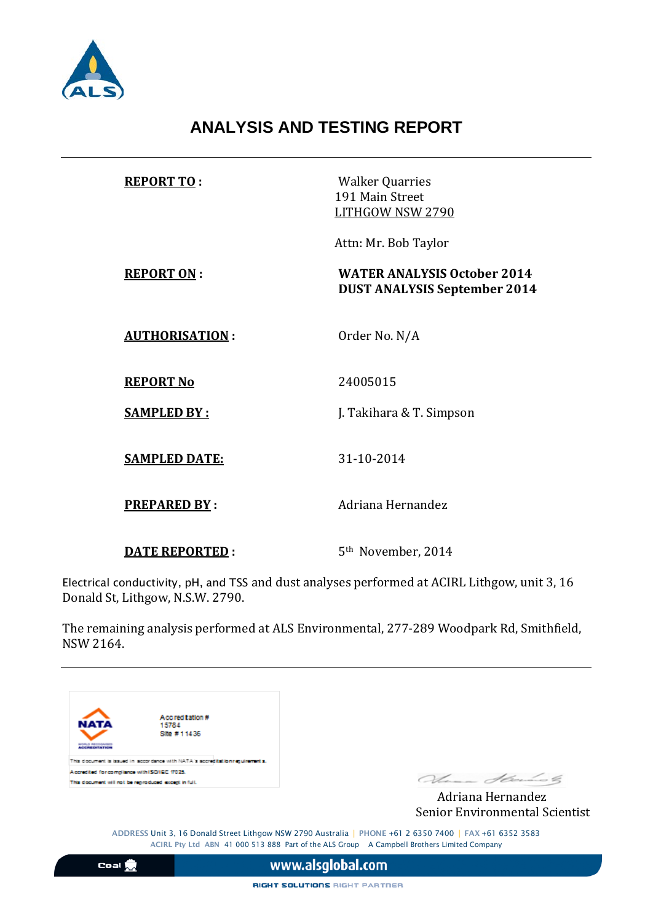

## **ANALYSIS AND TESTING REPORT**

| <b>REPORT TO:</b>     | <b>Walker Quarries</b><br>191 Main Street<br>LITHGOW NSW 2790             |
|-----------------------|---------------------------------------------------------------------------|
|                       | Attn: Mr. Bob Taylor                                                      |
| <b>REPORT ON:</b>     | <b>WATER ANALYSIS October 2014</b><br><b>DUST ANALYSIS September 2014</b> |
| <b>AUTHORISATION:</b> | Order No. N/A                                                             |
| <b>REPORT No</b>      | 24005015                                                                  |
| <b>SAMPLED BY:</b>    | J. Takihara & T. Simpson                                                  |
| <b>SAMPLED DATE:</b>  | 31-10-2014                                                                |
| <b>PREPARED BY:</b>   | Adriana Hernandez                                                         |
| <b>DATE REPORTED:</b> | 5 <sup>th</sup> November, 2014                                            |

Electrical conductivity, pH, and TSS and dust analyses performed at ACIRL Lithgow, unit 3, 16 Donald St, Lithgow, N.S.W. 2790.

The remaining analysis performed at ALS Environmental, 277-289 Woodpark Rd, Smithfield, NSW 2164.



Senior Environmental Scientist

ADDRESS Unit 3, 16 Donald Street Lithgow NSW 2790 Australia | PHONE +61 2 6350 7400 | FAX +61 6352 3583 ACIRL Pty Ltd ABN 41 000 513 888 Part of the ALS Group A Campbell Brothers Limited Company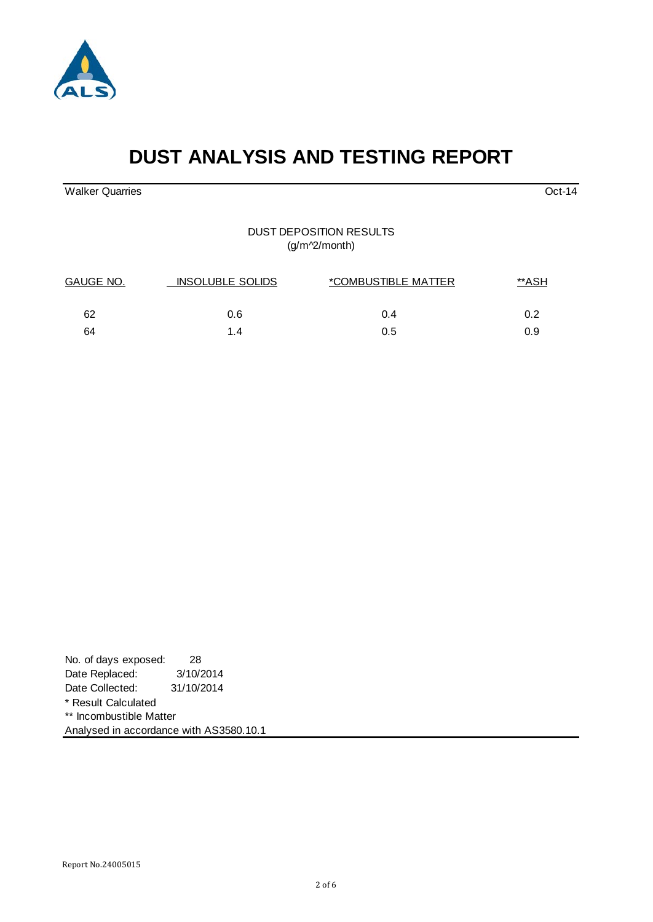

# **DUST ANALYSIS AND TESTING REPORT**

Walker Quarries Oct-14

#### DUST DEPOSITION RESULTS (g/m^2/month)

| GAUGE NO. | <b>INSOLUBLE SOLIDS</b> | <i>*COMBUSTIBLE MATTER</i> | **ASH |  |
|-----------|-------------------------|----------------------------|-------|--|
| 62        | 0.6                     | 0.4                        | 0.2   |  |
| 64        | 1.4                     | 0.5                        | 0.9   |  |

| No. of days exposed:                    | 28         |  |  |
|-----------------------------------------|------------|--|--|
| Date Replaced:                          | 3/10/2014  |  |  |
| Date Collected:                         | 31/10/2014 |  |  |
| * Result Calculated                     |            |  |  |
| ** Incombustible Matter                 |            |  |  |
| Analysed in accordance with AS3580.10.1 |            |  |  |

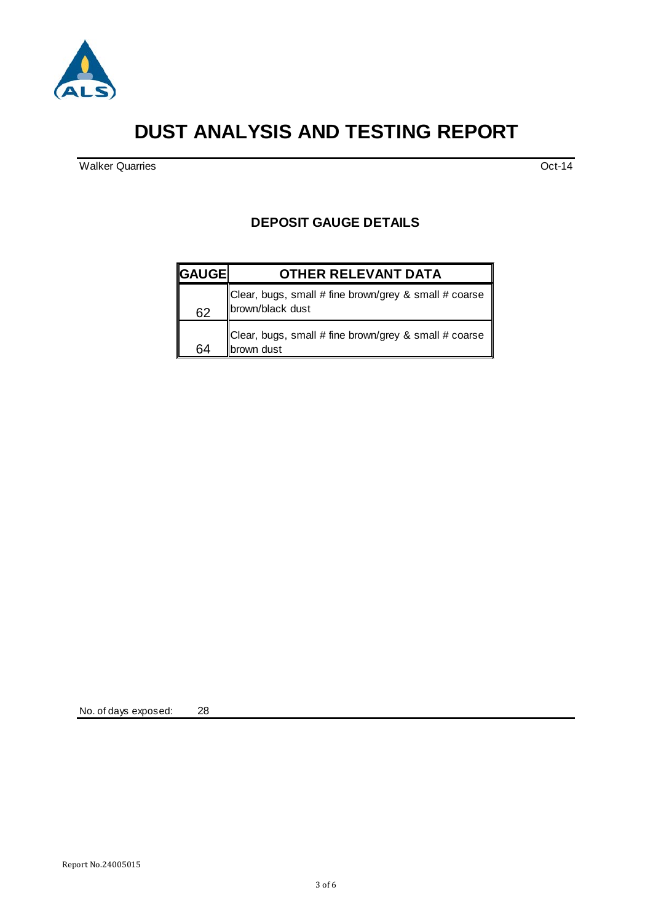

## **DUST ANALYSIS AND TESTING REPORT**

Walker Quarries **Oct-14** 

#### **DEPOSIT GAUGE DETAILS**

| <b>GAUGE</b> | <b>OTHER RELEVANT DATA</b>                                                   |
|--------------|------------------------------------------------------------------------------|
| 62           | Clear, bugs, small # fine brown/grey & small # coarse   <br>brown/black dust |
| 64           | Clear, bugs, small # fine brown/grey & small # coarse<br>H<br>brown dust     |

No. of days exposed: 28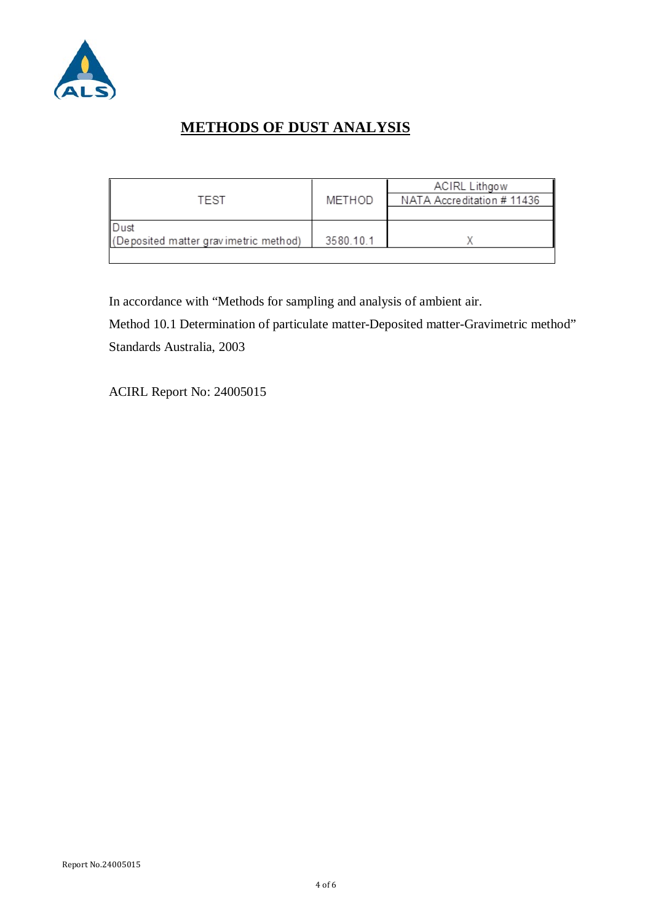

### **METHODS OF DUST ANALYSIS**

|                                       |           | <b>ACIRL Lithgow</b>       |
|---------------------------------------|-----------|----------------------------|
| TFST                                  | METHOD    | NATA Accreditation # 11436 |
|                                       |           |                            |
| l Dust                                |           |                            |
| (Deposited matter gravimetric method) | 3580.10.1 |                            |
|                                       |           |                            |

In accordance with "Methods for sampling and analysis of ambient air.

Method 10.1 Determination of particulate matter-Deposited matter-Gravimetric method" Standards Australia, 2003

ACIRL Report No: 24005015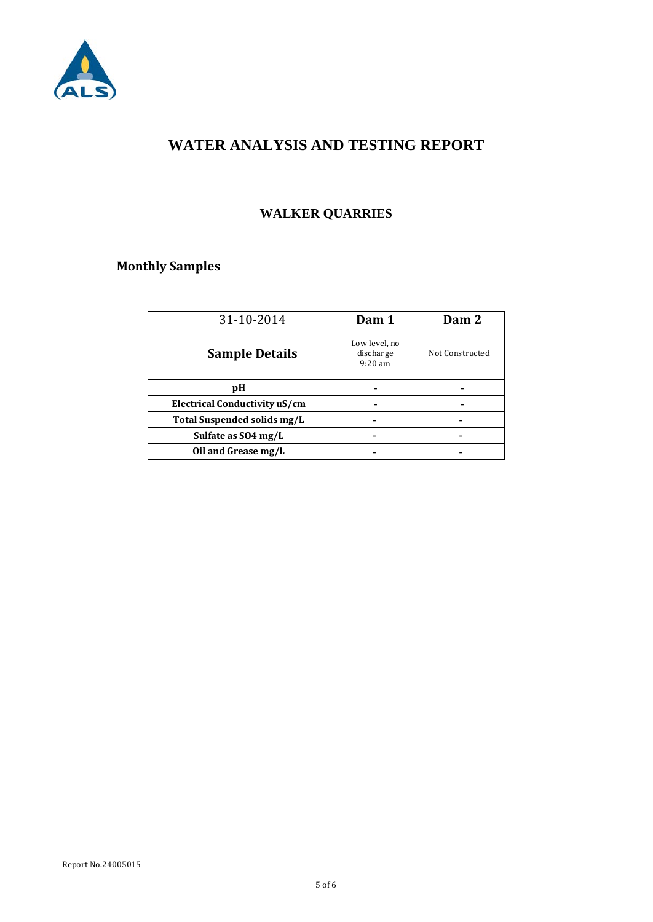

#### **WATER ANALYSIS AND TESTING REPORT**

### **WALKER QUARRIES**

### **Monthly Samples**

| Dam 1                                   | Dam 2           |
|-----------------------------------------|-----------------|
| Low level, no<br>discharge<br>$9:20$ am | Not Constructed |
|                                         |                 |
|                                         |                 |
|                                         |                 |
|                                         |                 |
|                                         |                 |
|                                         |                 |